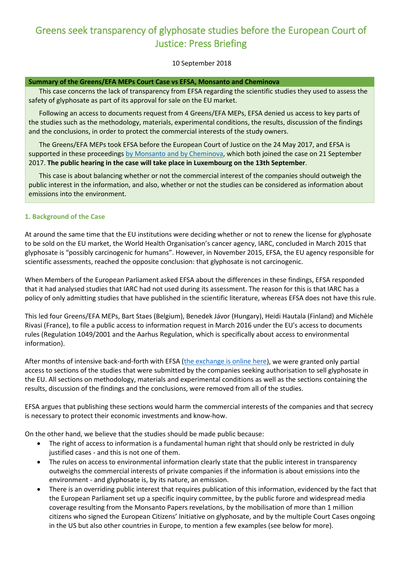# Greens seek transparency of glyphosate studies before the European Court of Justice: Press Briefing

## 10 September 2018

#### **Summary of the Greens/EFA MEPs Court Case vs EFSA, Monsanto and Cheminova**

This case concerns the lack of transparency from EFSA regarding the scientific studies they used to assess the safety of glyphosate as part of its approval for sale on the EU market.

Following an access to documents request from 4 Greens/EFA MEPs, EFSA denied us access to key parts of the studies such as the methodology, materials, experimental conditions, the results, discussion of the findings and the conclusions, in order to protect the commercial interests of the study owners.

The Greens/EFA MEPs took EFSA before the European Court of Justice on the 24 May 2017, and EFSA is supported in these proceedings [by Monsanto and by Cheminova,](http://extranet.greens-efa-service.eu/be/realfile/5420/bin) which both joined the case on 21 September 2017. **The public hearing in the case will take place in Luxembourg on the 13th September**.

This case is about balancing whether or not the commercial interest of the companies should outweigh the public interest in the information, and also, whether or not the studies can be considered as information about emissions into the environment.

#### **1. Background of the Case**

At around the same time that the EU institutions were deciding whether or not to renew the license for glyphosate to be sold on the EU market, the World Health Organisation's cancer agency, IARC, concluded in March 2015 that glyphosate is "possibly carcinogenic for humans". However, in November 2015, EFSA, the EU agency responsible for scientific assessments, reached the opposite conclusion: that glyphosate is not carcinogenic.

When Members of the European Parliament asked EFSA about the differences in these findings, EFSA responded that it had analysed studies that IARC had not used during its assessment. The reason for this is that IARC has a policy of only admitting studies that have published in the scientific literature, whereas EFSA does not have this rule.

This led four Greens/EFA MEPs, Bart Staes (Belgium), Benedek Jávor (Hungary), Heidi Hautala (Finland) and Michèle Rivasi (France), to file a public access to information request in March 2016 under the EU's access to documents rules (Regulation 1049/2001 and the Aarhus Regulation, which is specifically about access to environmental information).

After months of intensive back-and-forth with EFSA [\(the exchange is online here\)](https://www.asktheeu.org/en/request/is_glyphosate_safe_we_have_the_r), we were granted only partial access to sections of the studies that were submitted by the companies seeking authorisation to sell glyphosate in the EU. All sections on methodology, materials and experimental conditions as well as the sections containing the results, discussion of the findings and the conclusions, were removed from all of the studies.

EFSA argues that publishing these sections would harm the commercial interests of the companies and that secrecy is necessary to protect their economic investments and know-how.

On the other hand, we believe that the studies should be made public because:

- The right of access to information is a fundamental human right that should only be restricted in duly justified cases - and this is not one of them.
- The rules on access to environmental information clearly state that the public interest in transparency outweighs the commercial interests of private companies if the information is about emissions into the environment - and glyphosate is, by its nature, an emission.
- There is an overriding public interest that requires publication of this information, evidenced by the fact that the European Parliament set up a specific inquiry committee, by the public furore and widespread media coverage resulting from the Monsanto Papers revelations, by the mobilisation of more than 1 million citizens who signed the European Citizens' Initiative on glyphosate, and by the multiple Court Cases ongoing in the US but also other countries in Europe, to mention a few examples (see below for more).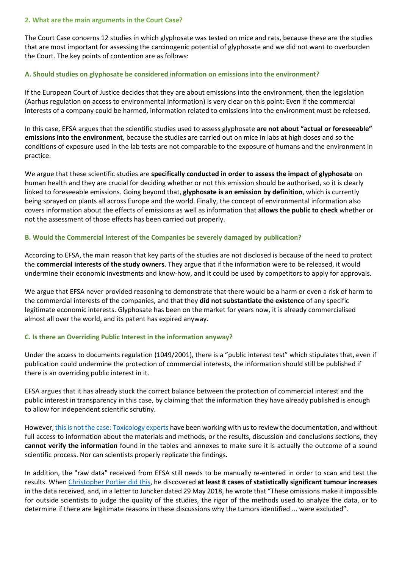#### **2. What are the main arguments in the Court Case?**

The Court Case concerns 12 studies in which glyphosate was tested on mice and rats, because these are the studies that are most important for assessing the carcinogenic potential of glyphosate and we did not want to overburden the Court. The key points of contention are as follows:

#### **A. Should studies on glyphosate be considered information on emissions into the environment?**

If the European Court of Justice decides that they are about emissions into the environment, then the legislation (Aarhus regulation on access to environmental information) is very clear on this point: Even if the commercial interests of a company could be harmed, information related to emissions into the environment must be released.

In this case, EFSA argues that the scientific studies used to assess glyphosate **are not about "actual or foreseeable" emissions into the environment**, because the studies are carried out on mice in labs at high doses and so the conditions of exposure used in the lab tests are not comparable to the exposure of humans and the environment in practice.

We argue that these scientific studies are **specifically conducted in order to assess the impact of glyphosate** on human health and they are crucial for deciding whether or not this emission should be authorised, so it is clearly linked to foreseeable emissions. Going beyond that, **glyphosate is an emission by definition**, which is currently being sprayed on plants all across Europe and the world. Finally, the concept of environmental information also covers information about the effects of emissions as well as information that **allows the public to check** whether or not the assessment of those effects has been carried out properly.

## **B. Would the Commercial Interest of the Companies be severely damaged by publication?**

According to EFSA, the main reason that key parts of the studies are not disclosed is because of the need to protect the **commercial interests of the study owners**. They argue that if the information were to be released, it would undermine their economic investments and know-how, and it could be used by competitors to apply for approvals.

We argue that EFSA never provided reasoning to demonstrate that there would be a harm or even a risk of harm to the commercial interests of the companies, and that they **did not substantiate the existence** of any specific legitimate economic interests. Glyphosate has been on the market for years now, it is already commercialised almost all over the world, and its patent has expired anyway.

# **C. Is there an Overriding Public Interest in the information anyway?**

Under the access to documents regulation (1049/2001), there is a "public interest test" which stipulates that, even if publication could undermine the protection of commercial interests, the information should still be published if there is an overriding public interest in it.

EFSA argues that it has already stuck the correct balance between the protection of commercial interest and the public interest in transparency in this case, by claiming that the information they have already published is enough to allow for independent scientific scrutiny.

However, [this is not the case: Toxicology experts](http://extranet.greens-efa-service.eu/public/media/file/1/5195) have been working with us to review the documentation, and without full access to information about the materials and methods, or the results, discussion and conclusions sections, they **cannot verify the information** found in the tables and annexes to make sure it is actually the outcome of a sound scientific process. Nor can scientists properly replicate the findings.

In addition, the "raw data" received from EFSA still needs to be manually re-entered in order to scan and test the results. When [Christopher Portier did this,](http://extranet.greens-efa-service.eu/public/media/file/1/5195) he discovered **at least 8 cases of statistically significant tumour increases** in the data received, and, in a letter to Juncker dated 29 May 2018, he wrote that "These omissions make it impossible for outside scientists to judge the quality of the studies, the rigor of the methods used to analyze the data, or to determine if there are legitimate reasons in these discussions why the tumors identified ... were excluded".